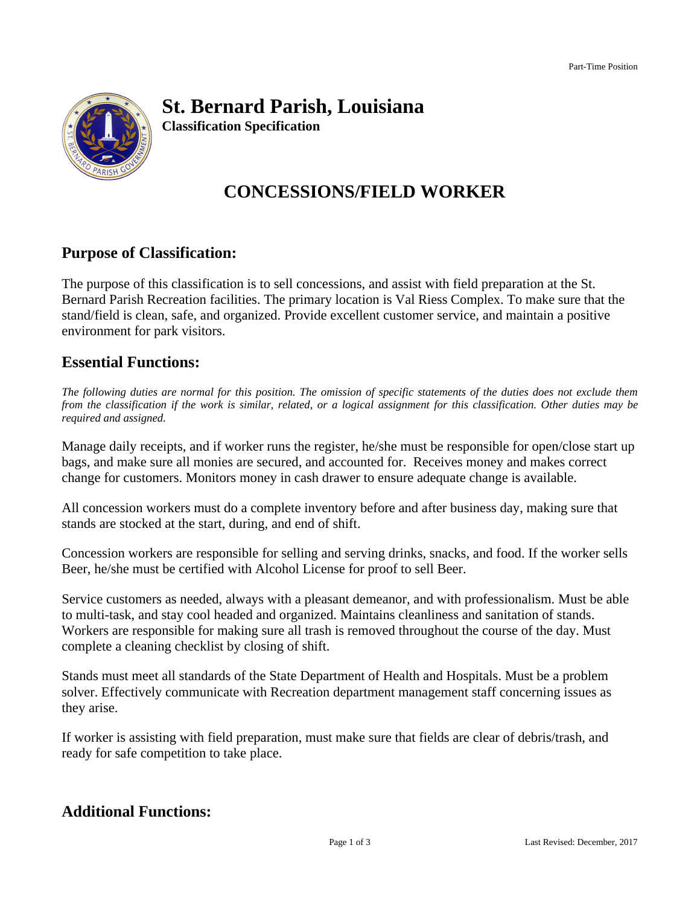

## **St. Bernard Parish, Louisiana**

**Classification Specification**

# **CONCESSIONS/FIELD WORKER**

### **Purpose of Classification:**

The purpose of this classification is to sell concessions, and assist with field preparation at the St. Bernard Parish Recreation facilities. The primary location is Val Riess Complex. To make sure that the stand/field is clean, safe, and organized. Provide excellent customer service, and maintain a positive environment for park visitors.

#### **Essential Functions:**

The following duties are normal for this position. The omission of specific statements of the duties does not exclude them from the classification if the work is similar, related, or a logical assignment for this classification. Other duties may be *required and assigned.*

Manage daily receipts, and if worker runs the register, he/she must be responsible for open/close start up bags, and make sure all monies are secured, and accounted for. Receives money and makes correct change for customers. Monitors money in cash drawer to ensure adequate change is available.

All concession workers must do a complete inventory before and after business day, making sure that stands are stocked at the start, during, and end of shift.

Concession workers are responsible for selling and serving drinks, snacks, and food. If the worker sells Beer, he/she must be certified with Alcohol License for proof to sell Beer.

Service customers as needed, always with a pleasant demeanor, and with professionalism. Must be able to multi-task, and stay cool headed and organized. Maintains cleanliness and sanitation of stands. Workers are responsible for making sure all trash is removed throughout the course of the day. Must complete a cleaning checklist by closing of shift.

Stands must meet all standards of the State Department of Health and Hospitals. Must be a problem solver. Effectively communicate with Recreation department management staff concerning issues as they arise.

If worker is assisting with field preparation, must make sure that fields are clear of debris/trash, and ready for safe competition to take place.

### **Additional Functions:**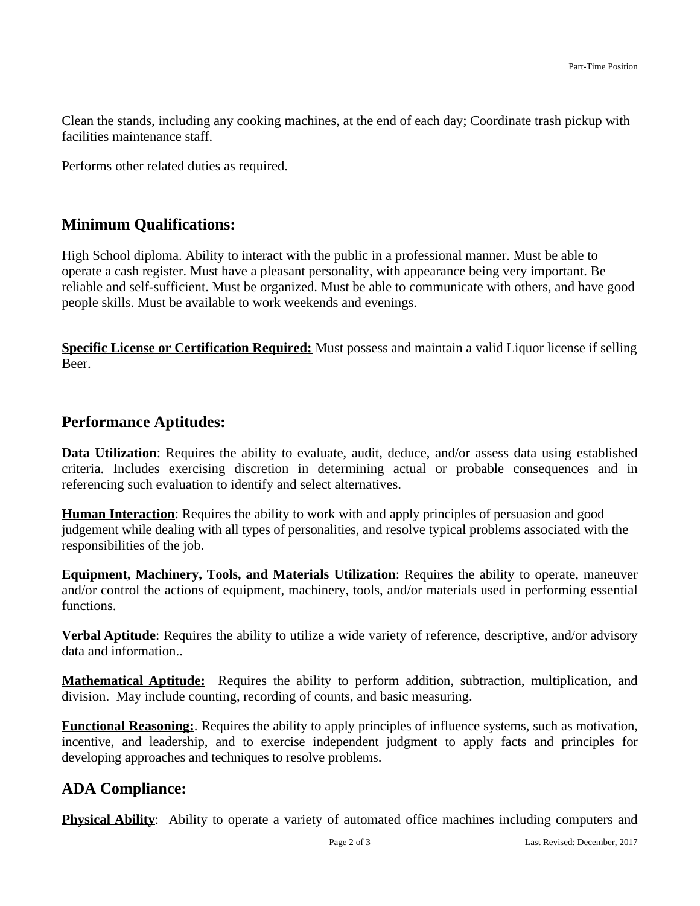Clean the stands, including any cooking machines, at the end of each day; Coordinate trash pickup with facilities maintenance staff.

Performs other related duties as required.

### **Minimum Qualifications:**

High School diploma. Ability to interact with the public in a professional manner. Must be able to operate a cash register. Must have a pleasant personality, with appearance being very important. Be reliable and self-sufficient. Must be organized. Must be able to communicate with others, and have good people skills. Must be available to work weekends and evenings.

**Specific License or Certification Required:** Must possess and maintain a valid Liquor license if selling Beer.

#### **Performance Aptitudes:**

**Data Utilization**: Requires the ability to evaluate, audit, deduce, and/or assess data using established criteria. Includes exercising discretion in determining actual or probable consequences and in referencing such evaluation to identify and select alternatives.

**Human Interaction**: Requires the ability to work with and apply principles of persuasion and good judgement while dealing with all types of personalities, and resolve typical problems associated with the responsibilities of the job.

**Equipment, Machinery, Tools, and Materials Utilization**: Requires the ability to operate, maneuver and/or control the actions of equipment, machinery, tools, and/or materials used in performing essential functions.

**Verbal Aptitude**: Requires the ability to utilize a wide variety of reference, descriptive, and/or advisory data and information..

**Mathematical Aptitude:** Requires the ability to perform addition, subtraction, multiplication, and division. May include counting, recording of counts, and basic measuring.

**Functional Reasoning:**. Requires the ability to apply principles of influence systems, such as motivation, incentive, and leadership, and to exercise independent judgment to apply facts and principles for developing approaches and techniques to resolve problems.

## **ADA Compliance:**

**Physical Ability**: Ability to operate a variety of automated office machines including computers and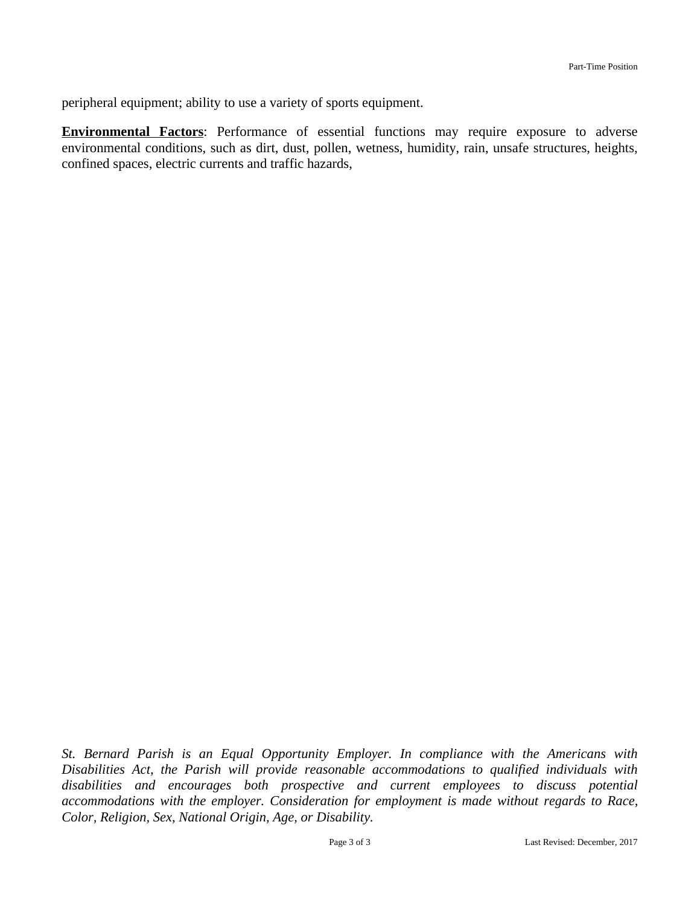peripheral equipment; ability to use a variety of sports equipment.

**Environmental Factors**: Performance of essential functions may require exposure to adverse environmental conditions, such as dirt, dust, pollen, wetness, humidity, rain, unsafe structures, heights, confined spaces, electric currents and traffic hazards,

*St. Bernard Parish is an Equal Opportunity Employer. In compliance with the Americans with Disabilities Act, the Parish will provide reasonable accommodations to qualified individuals with disabilities and encourages both prospective and current employees to discuss potential accommodations with the employer. Consideration for employment is made without regards to Race, Color, Religion, Sex, National Origin, Age, or Disability.*